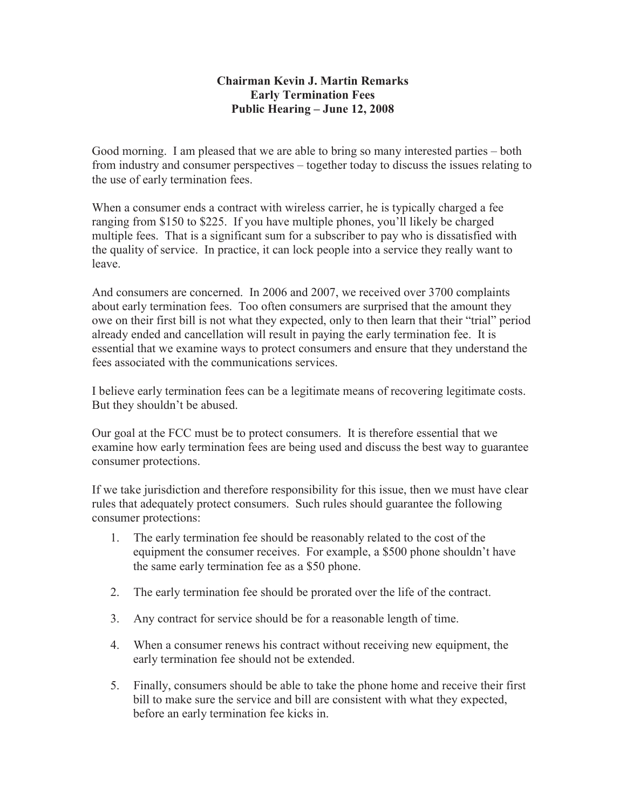## **Chairman Kevin J. Martin Remarks Early Termination Fees Public Hearing – June 12, 2008**

Good morning. I am pleased that we are able to bring so many interested parties – both from industry and consumer perspectives – together today to discuss the issues relating to the use of early termination fees.

When a consumer ends a contract with wireless carrier, he is typically charged a fee ranging from \$150 to \$225. If you have multiple phones, you'll likely be charged multiple fees. That is a significant sum for a subscriber to pay who is dissatisfied with the quality of service. In practice, it can lock people into a service they really want to leave.

And consumers are concerned. In 2006 and 2007, we received over 3700 complaints about early termination fees. Too often consumers are surprised that the amount they owe on their first bill is not what they expected, only to then learn that their "trial" period already ended and cancellation will result in paying the early termination fee. It is essential that we examine ways to protect consumers and ensure that they understand the fees associated with the communications services.

I believe early termination fees can be a legitimate means of recovering legitimate costs. But they shouldn't be abused.

Our goal at the FCC must be to protect consumers. It is therefore essential that we examine how early termination fees are being used and discuss the best way to guarantee consumer protections.

If we take jurisdiction and therefore responsibility for this issue, then we must have clear rules that adequately protect consumers. Such rules should guarantee the following consumer protections:

- 1. The early termination fee should be reasonably related to the cost of the equipment the consumer receives. For example, a \$500 phone shouldn't have the same early termination fee as a \$50 phone.
- 2. The early termination fee should be prorated over the life of the contract.
- 3. Any contract for service should be for a reasonable length of time.
- 4. When a consumer renews his contract without receiving new equipment, the early termination fee should not be extended.
- 5. Finally, consumers should be able to take the phone home and receive their first bill to make sure the service and bill are consistent with what they expected, before an early termination fee kicks in.